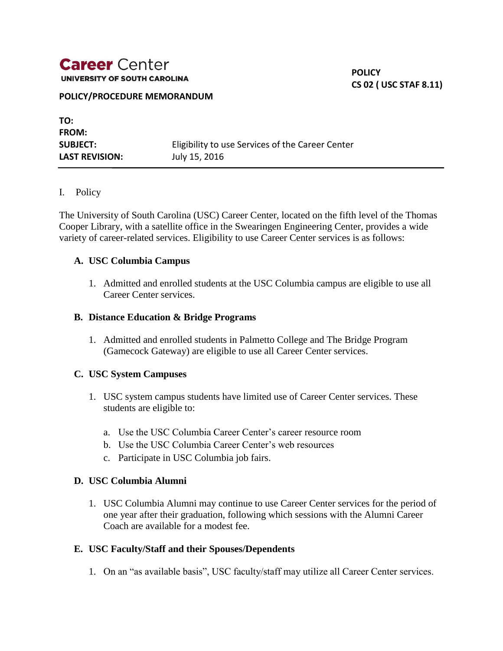## **Career** Center UNIVERSITY OF SOUTH CAROLINA

**POLICY CS 02 ( USC STAF 8.11)**

#### **POLICY/PROCEDURE MEMORANDUM**

**TO: FROM: SUBJECT:** Eligibility to use Services of the Career Center **LAST REVISION:** July 15, 2016

#### I. Policy

The University of South Carolina (USC) Career Center, located on the fifth level of the Thomas Cooper Library, with a satellite office in the Swearingen Engineering Center, provides a wide variety of career-related services. Eligibility to use Career Center services is as follows:

#### **A. USC Columbia Campus**

1. Admitted and enrolled students at the USC Columbia campus are eligible to use all Career Center services.

#### **B. Distance Education & Bridge Programs**

1. Admitted and enrolled students in Palmetto College and The Bridge Program (Gamecock Gateway) are eligible to use all Career Center services.

#### **C. USC System Campuses**

- 1. USC system campus students have limited use of Career Center services. These students are eligible to:
	- a. Use the USC Columbia Career Center's career resource room
	- b. Use the USC Columbia Career Center's web resources
	- c. Participate in USC Columbia job fairs.

## **D. USC Columbia Alumni**

1. USC Columbia Alumni may continue to use Career Center services for the period of one year after their graduation, following which sessions with the Alumni Career Coach are available for a modest fee.

#### **E. USC Faculty/Staff and their Spouses/Dependents**

1. On an "as available basis", USC faculty/staff may utilize all Career Center services.